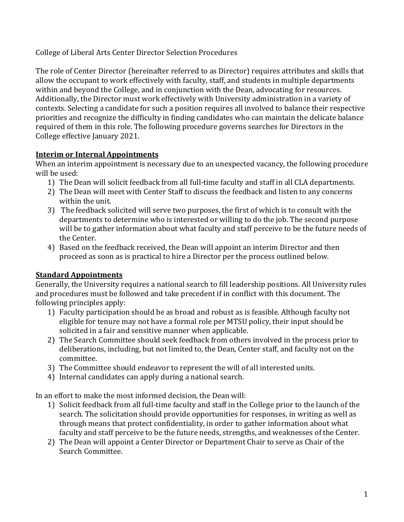College of Liberal Arts Center Director Selection Procedures

The role of Center Director (hereinafter referred to as Director) requires attributes and skills that allow the occupant to work effectively with faculty, staff, and students in multiple departments within and beyond the College, and in conjunction with the Dean, advocating for resources. Additionally, the Director must work effectively with University administration in a variety of contexts. Selecting a candidate for such a position requires all involved to balance their respective priorities and recognize the difficulty in finding candidates who can maintain the delicate balance required of them in this role. The following procedure governs searches for Directors in the College effective January 2021.

## **Interim or Internal Appointments**

When an interim appointment is necessary due to an unexpected vacancy, the following procedure will be used:

- 1) The Dean will solicit feedback from all full-time faculty and staff in all CLA departments.
- 2) The Dean will meet with Center Staff to discuss the feedback and listen to any concerns within the unit.
- 3) The feedback solicited will serve two purposes, the first of which is to consult with the departments to determine who is interested or willing to do the job. The second purpose will be to gather information about what faculty and staff perceive to be the future needs of the Center.
- 4) Based on the feedback received, the Dean will appoint an interim Director and then proceed as soon as is practical to hire a Director per the process outlined below.

## **Standard Appointments**

Generally, the University requires a national search to fill leadership positions. All University rules and procedures must be followed and take precedent if in conflict with this document. The following principles apply:

- 1) Faculty participation should be as broad and robust as is feasible. Although faculty not eligible for tenure may not have a formal role per MTSU policy, their input should be solicited in a fair and sensitive manner when applicable.
- 2) The Search Committee should seek feedback from others involved in the process prior to deliberations, including, but not limited to, the Dean, Center staff, and faculty not on the committee.
- 3) The Committee should endeavor to represent the will of all interested units.
- 4) Internal candidates can apply during a national search.

In an effort to make the most informed decision, the Dean will:

- 1) Solicit feedback from all full-time faculty and staff in the College prior to the launch of the search. The solicitation should provide opportunities for responses, in writing as well as through means that protect confidentiality, in order to gather information about what faculty and staff perceive to be the future needs, strengths, and weaknesses of the Center.
- 2) The Dean will appoint a Center Director or Department Chair to serve as Chair of the Search Committee.